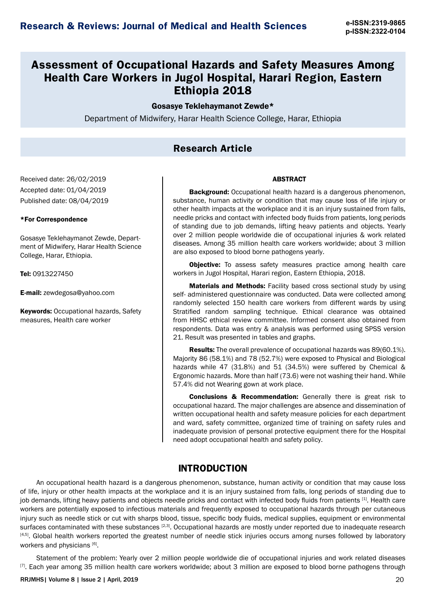# **Assessment of Occupational Hazards and Safety Measures Among Health Care Workers in Jugol Hospital, Harari Region, Eastern Ethiopia 2018**

#### Gosasye Teklehaymanot Zewde\*

Department of Midwifery, Harar Health Science College, Harar, Ethiopia

#### **Research Article**

Received date: 26/02/2019 Accepted date: 01/04/2019 Published date: 08/04/2019

#### \*For Correspondence

Gosasye Teklehaymanot Zewde, Department of Midwifery, Harar Health Science College, Harar, Ethiopia.

Tel: 0913227450

E-mail: zewdegosa@yahoo.com

**Keywords: Occupational hazards, Safety** measures, Health care worker

#### **ABSTRACT**

**Background:** Occupational health hazard is a dangerous phenomenon, substance, human activity or condition that may cause loss of life injury or other health impacts at the workplace and it is an injury sustained from falls, needle pricks and contact with infected body fluids from patients, long periods of standing due to job demands, lifting heavy patients and objects. Yearly over 2 million people worldwide die of occupational injuries & work related diseases. Among 35 million health care workers worldwide; about 3 million are also exposed to blood borne pathogens yearly.

**Objective:** To assess safety measures practice among health care workers in Jugol Hospital, Harari region, Eastern Ethiopia, 2018.

Materials and Methods: Facility based cross sectional study by using self- administered questionnaire was conducted. Data were collected among randomly selected 150 health care workers from different wards by using Stratified random sampling technique. Ethical clearance was obtained from HHSC ethical review committee. Informed consent also obtained from respondents. Data was entry & analysis was performed using SPSS version 21. Result was presented in tables and graphs.

Results: The overall prevalence of occupational hazards was 89(60.1%). Majority 86 (58.1%) and 78 (52.7%) were exposed to Physical and Biological hazards while 47 (31.8%) and 51 (34.5%) were suffered by Chemical & Ergonomic hazards. More than half (73.6) were not washing their hand. While 57.4% did not Wearing gown at work place.

**Conclusions & Recommendation:** Generally there is great risk to occupational hazard. The major challenges are absence and dissemination of written occupational health and safety measure policies for each department and ward, safety committee, organized time of training on safety rules and inadequate provision of personal protective equipment there for the Hospital need adopt occupational health and safety policy.

#### **INTRODUCTION**

An occupational health hazard is a dangerous phenomenon, substance, human activity or condition that may cause loss of life, injury or other health impacts at the workplace and it is an injury sustained from falls, long periods of standing due to job demands, lifting heavy patients and objects needle pricks and contact with infected body fluids from patients [1]. Health care workers are potentially exposed to infectious materials and frequently exposed to occupational hazards through per cutaneous injury such as needle stick or cut with sharps blood, tissue, specific body fluids, medical supplies, equipment or environmental surfaces contaminated with these substances [2,3]. Occupational hazards are mostly under reported due to inadequate research [4,5]. Global health workers reported the greatest number of needle stick injuries occurs among nurses followed by laboratory workers and physicians [6].

Statement of the problem: Yearly over 2 million people worldwide die of occupational injuries and work related diseases [7]. Each year among 35 million health care workers worldwide; about 3 million are exposed to blood borne pathogens through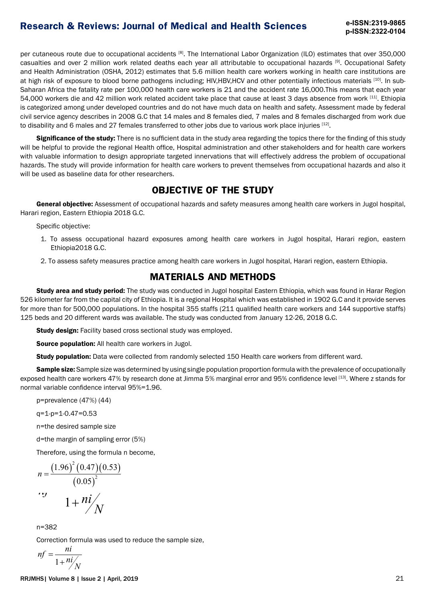per cutaneous route due to occupational accidents [8]. The International Labor Organization (ILO) estimates that over 350,000 casualties and over 2 million work related deaths each year all attributable to occupational hazards [9]. Occupational Safety and Health Administration (OSHA, 2012) estimates that 5.6 million health care workers working in health care institutions are at high risk of exposure to blood borne pathogens including; HIV,HBV,HCV and other potentially infectious materials [10]. In sub-Saharan Africa the fatality rate per 100,000 health care workers is 21 and the accident rate 16,000.This means that each year 54,000 workers die and 42 million work related accident take place that cause at least 3 days absence from work [11]. Ethiopia is categorized among under developed countries and do not have much data on health and safety. Assessment made by federal civil service agency describes in 2008 G.C that 14 males and 8 females died, 7 males and 8 females discharged from work due to disability and 6 males and 27 females transferred to other jobs due to various work place injuries [12].

Significance of the study: There is no sufficient data in the study area regarding the topics there for the finding of this study will be helpful to provide the regional Health office, Hospital administration and other stakeholders and for health care workers with valuable information to design appropriate targeted innervations that will effectively address the problem of occupational hazards. The study will provide information for health care workers to prevent themselves from occupational hazards and also it will be used as baseline data for other researchers.

#### **OBJECTIVE OF THE STUDY**

General objective: Assessment of occupational hazards and safety measures among health care workers in Jugol hospital, Harari region, Eastern Ethiopia 2018 G.C.

Specific objective:

- 1. To assess occupational hazard exposures among health care workers in Jugol hospital, Harari region, eastern Ethiopia2018 G.C.
- 2. To assess safety measures practice among health care workers in Jugol hospital, Harari region, eastern Ethiopia.

### **MATERIALS AND METHODS**

Study area and study period: The study was conducted in Jugol hospital Eastern Ethiopia, which was found in Harar Region 526 kilometer far from the capital city of Ethiopia. It is a regional Hospital which was established in 1902 G.C and it provide serves for more than for 500,000 populations. In the hospital 355 staffs (211 qualified health care workers and 144 supportive staffs) 125 beds and 20 different wards was available. The study was conducted from January 12-26, 2018 G.C.

**Study design:** Facility based cross sectional study was employed.

Source population: All health care workers in Jugol.

Study population: Data were collected from randomly selected 150 Health care workers from different ward.

Sample size: Sample size was determined by using single population proportion formula with the prevalence of occupationally exposed health care workers 47% by research done at Jimma 5% marginal error and 95% confidence level [13]. Where z stands for normal variable confidence interval 95%=1.96.

p=prevalence (47%) (44)

q=1-p=1-0.47=0.53

n=the desired sample size

d=the margin of sampling error (5%)

Therefore, using the formula n become,

$$
n = \frac{(1.96)^{2} (0.47)(0.53)}{(0.05)^{2}}
$$
  
 
$$
n = \frac{(0.05)^{2}}{1 + ni}
$$

n=382

Correction formula was used to reduce the sample size,

$$
nf = \frac{ni}{1 + ni / N}
$$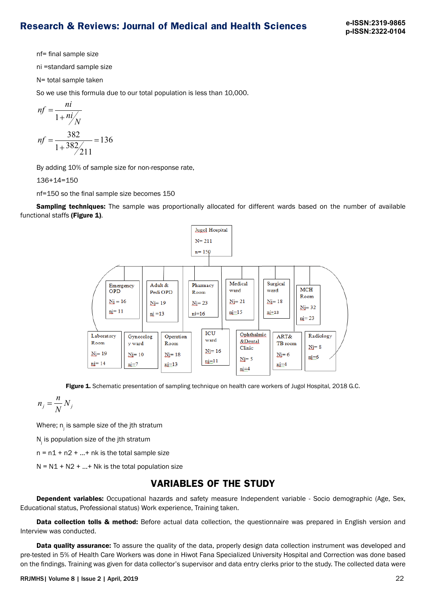nf= final sample size

ni =standard sample size

N= total sample taken

So we use this formula due to our total population is less than 10,000.

$$
nf = \frac{ni}{1 + ni / N}
$$
  

$$
nf = \frac{382}{1 + 382 / 211} = 136
$$

By adding 10% of sample size for non-response rate,

136+14=150

nf=150 so the final sample size becomes 150

Sampling techniques: The sample was proportionally allocated for different wards based on the number of available functional staffs (Figure 1).



Figure 1. Schematic presentation of sampling technique on health care workers of Jugol Hospital, 2018 G.C.

$$
n_j = \frac{n}{N} N_j
$$

Where;  $\boldsymbol{\mathsf n}_{_{\!j}}$  is sample size of the jth stratum

 $N_j$  is population size of the jth stratum

 $n = n1 + n2 + ... + nk$  is the total sample size

 $N = N1 + N2 + ... + Nk$  is the total population size

#### **VARIABLES OF THE STUDY**

Dependent variables: Occupational hazards and safety measure Independent variable - Socio demographic (Age, Sex, Educational status, Professional status) Work experience, Training taken.

Data collection tolls & method: Before actual data collection, the questionnaire was prepared in English version and Interview was conducted.

**Data quality assurance:** To assure the quality of the data, properly design data collection instrument was developed and pre-tested in 5% of Health Care Workers was done in Hiwot Fana Specialized University Hospital and Correction was done based on the findings. Training was given for data collector's supervisor and data entry clerks prior to the study. The collected data were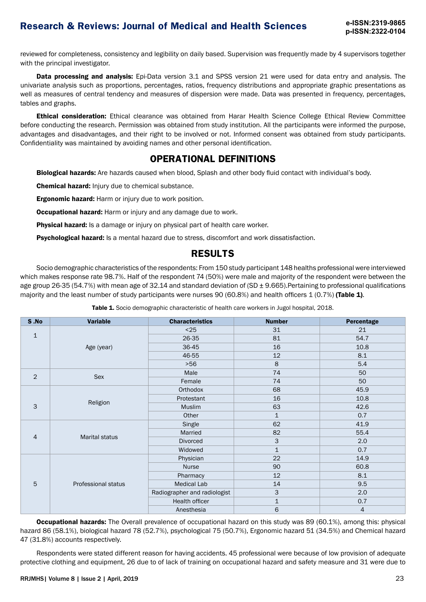reviewed for completeness, consistency and legibility on daily based. Supervision was frequently made by 4 supervisors together with the principal investigator.

Data processing and analysis: Epi-Data version 3.1 and SPSS version 21 were used for data entry and analysis. The univariate analysis such as proportions, percentages, ratios, frequency distributions and appropriate graphic presentations as well as measures of central tendency and measures of dispersion were made. Data was presented in frequency, percentages, tables and graphs.

Ethical consideration: Ethical clearance was obtained from Harar Health Science College Ethical Review Committee before conducting the research. Permission was obtained from study institution. All the participants were informed the purpose, advantages and disadvantages, and their right to be involved or not. Informed consent was obtained from study participants. Confidentiality was maintained by avoiding names and other personal identification.

### **OPERATIONAL DEFINITIONS**

Biological hazards: Are hazards caused when blood, Splash and other body fluid contact with individual's body.

Chemical hazard: Injury due to chemical substance.

Ergonomic hazard: Harm or injury due to work position.

**Occupational hazard:** Harm or injury and any damage due to work.

**Physical hazard:** Is a damage or injury on physical part of health care worker.

Psychological hazard: Is a mental hazard due to stress, discomfort and work dissatisfaction.

## **RESULTS**

Socio demographic characteristics of the respondents: From 150 study participant 148 healths professional were interviewed which makes response rate 98.7%. Half of the respondent 74 (50%) were male and majority of the respondent were between the age group 26-35 (54.7%) with mean age of 32.14 and standard deviation of (SD  $\pm$  9.665). Pertaining to professional qualifications majority and the least number of study participants were nurses 90 (60.8%) and health officers 1 (0.7%) (Table 1).

Table 1. Socio demographic characteristic of health care workers in Jugol hospital, 2018.

| S.No           | <b>Variable</b>       | <b>Characteristics</b>       | <b>Number</b>             | Percentage |
|----------------|-----------------------|------------------------------|---------------------------|------------|
| $\mathbf{1}$   |                       | $25$                         | 31                        | 21         |
|                |                       | 26-35                        | 81                        | 54.7       |
|                | Age (year)            | 36-45                        | 16                        | 10.8       |
|                |                       | 46-55                        | $12$                      | 8.1        |
|                |                       | $>56$                        | 8                         | 5.4        |
| $\overline{2}$ | Sex                   | Male                         | 74                        | 50         |
|                |                       | Female                       | 74                        | 50         |
|                | Religion              | Orthodox                     | 68                        | 45.9       |
| 3              |                       | Protestant                   | 16                        | 10.8       |
|                |                       | <b>Muslim</b>                | 63                        | 42.6       |
|                |                       | Other                        | $\mathbf{1}$              | 0.7        |
|                | <b>Marital status</b> | Single                       | 62                        | 41.9       |
| $\overline{4}$ |                       | Married                      | 82                        | 55.4       |
|                |                       | <b>Divorced</b>              | 3                         | 2.0        |
|                |                       | Widowed                      | $\mathbf{1}$              | 0.7        |
| 5              | Professional status   | Physician                    | 22                        | 14.9       |
|                |                       | <b>Nurse</b>                 | 90                        | 60.8       |
|                |                       | Pharmacy                     | 12                        | 8.1        |
|                |                       | <b>Medical Lab</b>           | 14                        | 9.5        |
|                |                       | Radiographer and radiologist | $\ensuremath{\mathsf{3}}$ | 2.0        |
|                |                       | Health officer               | $\mathbf{1}$              | 0.7        |
|                |                       | Anesthesia                   | 6                         | 4          |

**Occupational hazards:** The Overall prevalence of occupational hazard on this study was 89 (60.1%), among this: physical hazard 86 (58.1%), biological hazard 78 (52.7%), psychological 75 (50.7%), Ergonomic hazard 51 (34.5%) and Chemical hazard 47 (31.8%) accounts respectively.

Respondents were stated different reason for having accidents. 45 professional were because of low provision of adequate protective clothing and equipment, 26 due to of lack of training on occupational hazard and safety measure and 31 were due to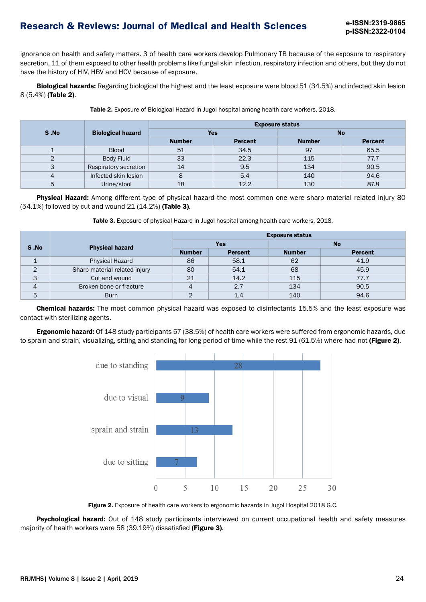ignorance on health and safety matters. 3 of health care workers develop Pulmonary TB because of the exposure to respiratory secretion, 11 of them exposed to other health problems like fungal skin infection, respiratory infection and others, but they do not have the history of HIV, HBV and HCV because of exposure.

**Biological hazards:** Regarding biological the highest and the least exposure were blood 51 (34.5%) and infected skin lesion 8 (5.4%) (Table 2).

|      | <b>Biological hazard</b> | <b>Exposure status</b> |                |               |                |  |  |
|------|--------------------------|------------------------|----------------|---------------|----------------|--|--|
| S.No |                          | <b>Yes</b>             |                | <b>No</b>     |                |  |  |
|      |                          | <b>Number</b>          | <b>Percent</b> | <b>Number</b> | <b>Percent</b> |  |  |
|      | <b>Blood</b>             | 51                     | 34.5           | 97            | 65.5           |  |  |
| 2    | <b>Body Fluid</b>        | 33                     | 22.3           | 115           | 77.7           |  |  |
| 3    | Respiratory secretion    | 14                     | 9.5            | 134           | 90.5           |  |  |
| 4    | Infected skin lesion     | 8                      | 5.4            | 140           | 94.6           |  |  |
| 5    | Urine/stool              | 18                     | 12.2           | 130           | 87.8           |  |  |

Table 2. Exposure of Biological Hazard in Jugol hospital among health care workers, 2018.

Physical Hazard: Among different type of physical hazard the most common one were sharp material related injury 80 (54.1%) followed by cut and wound 21 (14.2%) (Table 3).

|                | <b>Physical hazard</b>        | <b>Exposure status</b> |                |               |                |  |
|----------------|-------------------------------|------------------------|----------------|---------------|----------------|--|
| S.No           |                               | <b>Yes</b>             |                | <b>No</b>     |                |  |
|                |                               | <b>Number</b>          | <b>Percent</b> | <b>Number</b> | <b>Percent</b> |  |
|                | <b>Physical Hazard</b>        | 86                     | 58.1           | 62            | 41.9           |  |
| 2              | Sharp material related injury | 80                     | 54.1           | 68            | 45.9           |  |
| 3              | Cut and wound                 | 21                     | 14.2           | 115           | 77.7           |  |
| $\overline{4}$ | Broken bone or fracture       |                        | 2.7            | 134           | 90.5           |  |
| 5              | <b>Burn</b>                   |                        | 1.4            | 140           | 94.6           |  |

Chemical hazards: The most common physical hazard was exposed to disinfectants 15.5% and the least exposure was contact with sterilizing agents.

Ergonomic hazard: Of 148 study participants 57 (38.5%) of health care workers were suffered from ergonomic hazards, due to sprain and strain, visualizing, sitting and standing for long period of time while the rest 91 (61.5%) where had not (Figure 2).



Figure 2. Exposure of health care workers to ergonomic hazards in Jugol Hospital 2018 G.C.

Psychological hazard: Out of 148 study participants interviewed on current occupational health and safety measures majority of health workers were 58 (39.19%) dissatisfied (Figure 3).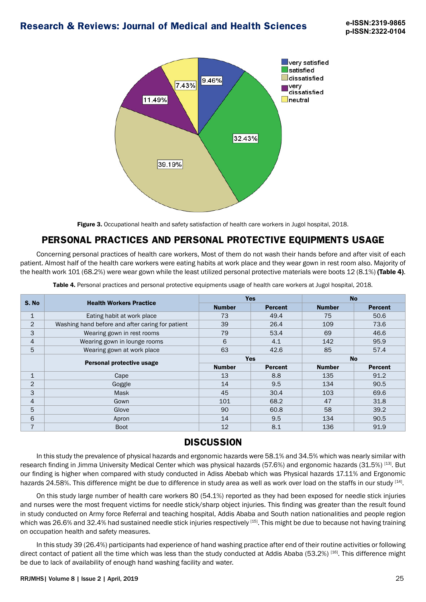

Figure 3. Occupational health and safety satisfaction of health care workers in Jugol hospital, 2018.

## **PERSONAL PRACTICES AND PERSONAL PROTECTIVE EQUIPMENTS USAGE**

Concerning personal practices of health care workers, Most of them do not wash their hands before and after visit of each patient. Almost half of the health care workers were eating habits at work place and they wear gown in rest room also. Majority of the health work 101 (68.2%) were wear gown while the least utilized personal protective materials were boots 12 (8.1%) (Table 4).

| <b>Table 4.</b> Personal practices and personal protective equipments usage of health care workers at Jugol hospital, 2018. |
|-----------------------------------------------------------------------------------------------------------------------------|
|                                                                                                                             |

| S. No          | <b>Health Workers Practice</b>                   | <b>Yes</b>    |                | <b>No</b>     |                |
|----------------|--------------------------------------------------|---------------|----------------|---------------|----------------|
|                |                                                  | <b>Number</b> | <b>Percent</b> | <b>Number</b> | <b>Percent</b> |
| $\mathbf{1}$   | Eating habit at work place                       | 73            | 49.4           | 75            | 50.6           |
| $\overline{2}$ | Washing hand before and after caring for patient | 39            | 26.4           | 109           | 73.6           |
| 3              | Wearing gown in rest rooms                       | 79            | 53.4           | 69            | 46.6           |
| $\overline{4}$ | Wearing gown in lounge rooms                     | 6             | 4.1            | 142           | 95.9           |
| 5              | Wearing gown at work place                       | 63            | 42.6           | 85            | 57.4           |
|                |                                                  | <b>Yes</b>    |                | <b>No</b>     |                |
|                | Personal protective usage                        | <b>Number</b> | <b>Percent</b> | <b>Number</b> | <b>Percent</b> |
| $\mathbf{1}$   | Cape                                             | 13            | 8.8            | 135           | 91.2           |
| $\overline{2}$ | Goggle                                           | 14            | 9.5            | 134           | 90.5           |
| 3              | <b>Mask</b>                                      | 45            | 30.4           | 103           | 69.6           |
| $\overline{4}$ | Gown                                             | 101           | 68.2           | 47            | 31.8           |
| 5              | Glove                                            | 90            | 60.8           | 58            | 39.2           |
| 6              | Apron                                            | 14            | 9.5            | 134           | 90.5           |
| $\overline{7}$ | <b>Boot</b>                                      | 12            | 8.1            | 136           | 91.9           |

## **DISCUSSION**

In this study the prevalence of physical hazards and ergonomic hazards were 58.1% and 34.5% which was nearly similar with research finding in Jimma University Medical Center which was physical hazards (57.6%) and ergonomic hazards (31.5%) [13]. But our finding is higher when compared with study conducted in Adiss Abebab which was Physical hazards 17.11% and Ergonomic hazards 24.58%. This difference might be due to difference in study area as well as work over load on the staffs in our study [14].

On this study large number of health care workers 80 (54.1%) reported as they had been exposed for needle stick injuries and nurses were the most frequent victims for needle stick/sharp object injuries. This finding was greater than the result found in study conducted on Army force Referral and teaching hospital, Addis Ababa and South nation nationalities and people region which was 26.6% and 32.4% had sustained needle stick injuries respectively [15]. This might be due to because not having training on occupation health and safety measures.

In this study 39 (26.4%) participants had experience of hand washing practice after end of their routine activities or following direct contact of patient all the time which was less than the study conducted at Addis Ababa (53.2%) [16]. This difference might be due to lack of availability of enough hand washing facility and water.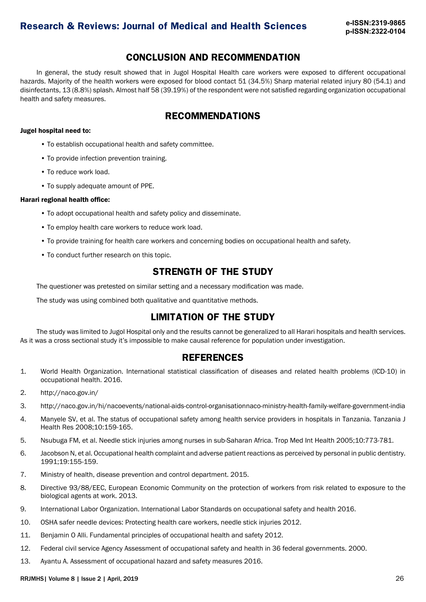### **CONCLUSION AND RECOMMENDATION**

In general, the study result showed that in Jugol Hospital Health care workers were exposed to different occupational hazards. Majority of the health workers were exposed for blood contact 51 (34.5%) Sharp material related injury 80 (54.1) and disinfectants, 13 (8.8%) splash. Almost half 58 (39.19%) of the respondent were not satisfied regarding organization occupational health and safety measures.

## **RECOMMENDATIONS**

#### Jugel hospital need to:

- To establish occupational health and safety committee.
- To provide infection prevention training.
- To reduce work load.
- To supply adequate amount of PPE.

#### Harari regional health office:

- To adopt occupational health and safety policy and disseminate.
- To employ health care workers to reduce work load.
- To provide training for health care workers and concerning bodies on occupational health and safety.
- To conduct further research on this topic.

### **STRENGTH OF THE STUDY**

The questioner was pretested on similar setting and a necessary modification was made.

The study was using combined both qualitative and quantitative methods.

## **LIMITATION OF THE STUDY**

The study was limited to Jugol Hospital only and the results cannot be generalized to all Harari hospitals and health services. As it was a cross sectional study it's impossible to make causal reference for population under investigation.

### **REFERENCES**

- 1. World Health Organization. International statistical classification of diseases and related health problems (ICD-10) in occupational health. 2016.
- 2. http://naco.gov.in/
- 3. http://naco.gov.in/hi/nacoevents/national-aids-control-organisationnaco-ministry-health-family-welfare-government-india
- 4. Manyele SV, et al. The status of occupational safety among health service providers in hospitals in Tanzania. Tanzania J Health Res 2008;10:159-165.
- 5. Nsubuga FM, et al. Needle stick injuries among nurses in sub-Saharan Africa. Trop Med Int Health 2005;10:773-781.
- 6. Jacobson N, et al. Occupational health complaint and adverse patient reactions as perceived by personal in public dentistry. 1991;19:155-159.
- 7. Ministry of health, disease prevention and control department. 2015.
- 8. Directive 93/88/EEC, European Economic Community on the protection of workers from risk related to exposure to the biological agents at work. 2013.
- 9. International Labor Organization. International Labor Standards on occupational safety and health 2016.
- 10. OSHA safer needle devices: Protecting health care workers, needle stick injuries 2012.
- 11. Benjamin O Alli. Fundamental principles of occupational health and safety 2012.
- 12. Federal civil service Agency Assessment of occupational safety and health in 36 federal governments. 2000.
- 13. Ayantu A. Assessment of occupational hazard and safety measures 2016.

RRJMHS| Volume 8 | Issue 2 | April, 2019